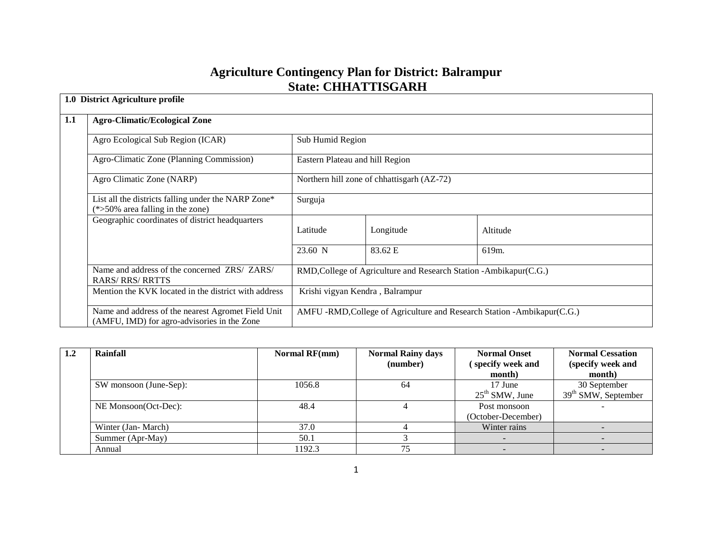# **Agriculture Contingency Plan for District: Balrampur State: CHHATTISGARH**

|     | 1.0 District Agriculture profile                                                                  |                                                                    |                                 |                                                                         |  |  |  |
|-----|---------------------------------------------------------------------------------------------------|--------------------------------------------------------------------|---------------------------------|-------------------------------------------------------------------------|--|--|--|
| 1.1 | <b>Agro-Climatic/Ecological Zone</b>                                                              |                                                                    |                                 |                                                                         |  |  |  |
|     | Agro Ecological Sub Region (ICAR)                                                                 |                                                                    | Sub Humid Region                |                                                                         |  |  |  |
|     | Agro-Climatic Zone (Planning Commission)                                                          |                                                                    | Eastern Plateau and hill Region |                                                                         |  |  |  |
|     | Agro Climatic Zone (NARP)                                                                         | Northern hill zone of chhattisgarh (AZ-72)                         |                                 |                                                                         |  |  |  |
|     | List all the districts falling under the NARP Zone*<br>$(*>50\%$ area falling in the zone)        | Surguja                                                            |                                 |                                                                         |  |  |  |
|     | Geographic coordinates of district headquarters                                                   | Latitude                                                           | Longitude                       | Altitude                                                                |  |  |  |
|     |                                                                                                   | 23.60 N                                                            | 83.62 E                         | 619m.                                                                   |  |  |  |
|     | Name and address of the concerned ZRS/ ZARS/<br><b>RARS/RRS/RRTTS</b>                             | RMD, College of Agriculture and Research Station - Ambikapur(C.G.) |                                 |                                                                         |  |  |  |
|     | Mention the KVK located in the district with address                                              | Krishi vigyan Kendra, Balrampur                                    |                                 |                                                                         |  |  |  |
|     | Name and address of the nearest Agromet Field Unit<br>(AMFU, IMD) for agro-advisories in the Zone |                                                                    |                                 | AMFU -RMD, College of Agriculture and Research Station -Ambikapur(C.G.) |  |  |  |

| 1.2 | Rainfall               | Normal RF(mm) | <b>Normal Rainy days</b> | <b>Normal Onset</b> | <b>Normal Cessation</b> |
|-----|------------------------|---------------|--------------------------|---------------------|-------------------------|
|     |                        |               | (number)                 | specify week and    | (specify week and       |
|     |                        |               |                          | month)              | month)                  |
|     | SW monsoon (June-Sep): | 1056.8        | 64                       | 17 June             | 30 September            |
|     |                        |               |                          | $25th$ SMW, June    | $39th$ SMW, September   |
|     | NE Monsoon(Oct-Dec):   | 48.4          |                          | Post monsoon        |                         |
|     |                        |               |                          | (October-December)  |                         |
|     | Winter (Jan-March)     | 37.0          |                          | Winter rains        |                         |
|     | Summer (Apr-May)       | 50.1          |                          |                     |                         |
|     | Annual                 | 1192.3        | 75                       |                     |                         |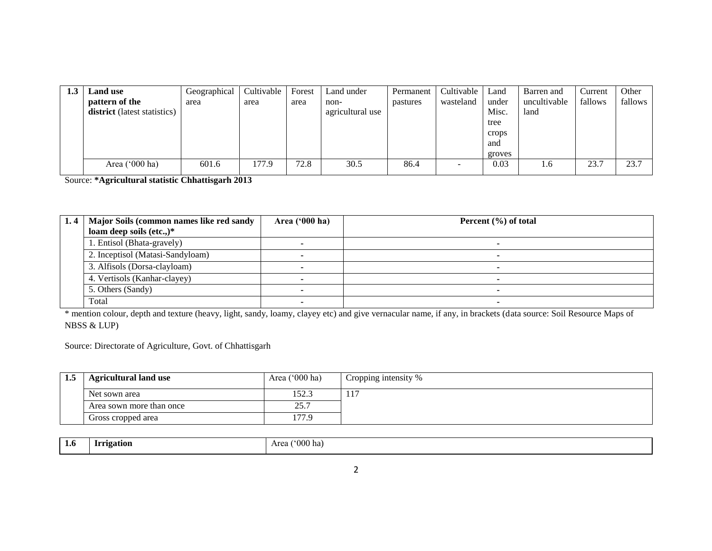| 1.3 | <b>Land use</b>              | Geographical | Cultivable | Forest | Land under       | Permanent | Cultivable | Land   | Barren and   | Current | Other   |
|-----|------------------------------|--------------|------------|--------|------------------|-----------|------------|--------|--------------|---------|---------|
|     | pattern of the               | area         | area       | area   | non-             | pastures  | wasteland  | under  | uncultivable | fallows | fallows |
|     | district (latest statistics) |              |            |        | agricultural use |           |            | Misc.  | land         |         |         |
|     |                              |              |            |        |                  |           |            | tree   |              |         |         |
|     |                              |              |            |        |                  |           |            | crops  |              |         |         |
|     |                              |              |            |        |                  |           |            | and    |              |         |         |
|     |                              |              |            |        |                  |           |            | groves |              |         |         |
|     | Area $('000 ha)$             | 601.6        | 77.9       | 72.8   | 30.5             | 86.4      |            | 0.03   | 1.6          | 23.7    | 23.7    |

Source: **\*Agricultural statistic Chhattisgarh 2013**

| 1.4 | Major Soils (common names like red sandy | Area $(900 \text{ ha})$ | Percent $(\% )$ of total |
|-----|------------------------------------------|-------------------------|--------------------------|
|     | loam deep soils (etc.,)*                 |                         |                          |
|     | 1. Entisol (Bhata-gravely)               |                         |                          |
|     | 2. Inceptisol (Matasi-Sandyloam)         |                         |                          |
|     | 3. Alfisols (Dorsa-clayloam)             |                         |                          |
|     | 4. Vertisols (Kanhar-clayey)             |                         |                          |
|     | 5. Others (Sandy)                        |                         |                          |
|     | Total                                    |                         |                          |

\* mention colour, depth and texture (heavy, light, sandy, loamy, clayey etc) and give vernacular name, if any, in brackets (data source: Soil Resource Maps of NBSS & LUP)

Source: Directorate of Agriculture, Govt. of Chhattisgarh

| 1.5 | <b>Agricultural land use</b> | Area $(000 \text{ ha})$ | Cropping intensity % |
|-----|------------------------------|-------------------------|----------------------|
|     | Net sown area                | 152.3                   | $\pm 1$              |
|     | Area sown more than once     | 25.7                    |                      |
|     | Gross cropped area           | 77.9                    |                      |

| 1.0 | <i><u><b>Irrigation</b></u></i> | $^{\circ}000$ ha)<br>Area |
|-----|---------------------------------|---------------------------|
|     |                                 |                           |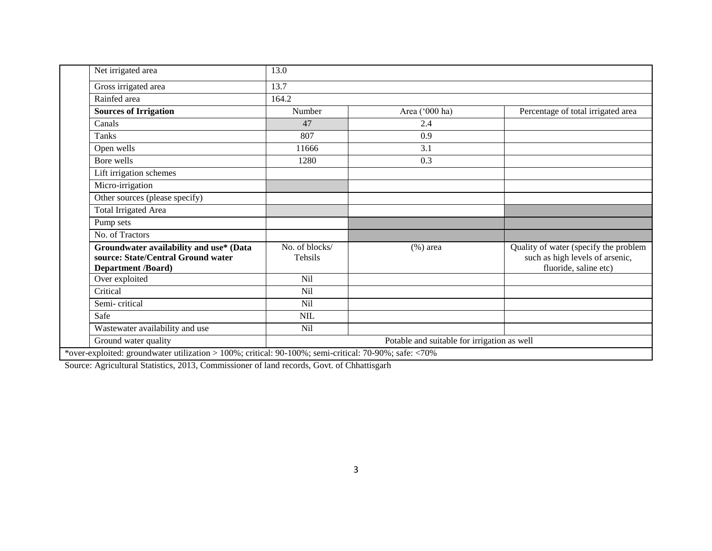| Net irrigated area                                                                                         | 13.0                      |                                             |                                                                                                   |
|------------------------------------------------------------------------------------------------------------|---------------------------|---------------------------------------------|---------------------------------------------------------------------------------------------------|
| Gross irrigated area                                                                                       | 13.7                      |                                             |                                                                                                   |
| Rainfed area                                                                                               | 164.2                     |                                             |                                                                                                   |
| <b>Sources of Irrigation</b>                                                                               | Number                    | Area ('000 ha)                              | Percentage of total irrigated area                                                                |
| Canals                                                                                                     | 47                        | 2.4                                         |                                                                                                   |
| Tanks                                                                                                      | 807                       | 0.9                                         |                                                                                                   |
| Open wells                                                                                                 | 11666                     | 3.1                                         |                                                                                                   |
| Bore wells                                                                                                 | 1280                      | 0.3                                         |                                                                                                   |
| Lift irrigation schemes                                                                                    |                           |                                             |                                                                                                   |
| Micro-irrigation                                                                                           |                           |                                             |                                                                                                   |
| Other sources (please specify)                                                                             |                           |                                             |                                                                                                   |
| <b>Total Irrigated Area</b>                                                                                |                           |                                             |                                                                                                   |
| Pump sets                                                                                                  |                           |                                             |                                                                                                   |
| No. of Tractors                                                                                            |                           |                                             |                                                                                                   |
| Groundwater availability and use* (Data<br>source: State/Central Ground water<br><b>Department /Board)</b> | No. of blocks/<br>Tehsils | $(\% )$ area                                | Quality of water (specify the problem<br>such as high levels of arsenic,<br>fluoride, saline etc) |
| Over exploited                                                                                             | Nil                       |                                             |                                                                                                   |
| Critical                                                                                                   | Nil                       |                                             |                                                                                                   |
| Semi-critical                                                                                              | <b>Nil</b>                |                                             |                                                                                                   |
| Safe                                                                                                       | <b>NIL</b>                |                                             |                                                                                                   |
| Wastewater availability and use                                                                            | <b>Nil</b>                |                                             |                                                                                                   |
| Ground water quality                                                                                       |                           | Potable and suitable for irrigation as well |                                                                                                   |

Source: Agricultural Statistics, 2013, Commissioner of land records, Govt. of Chhattisgarh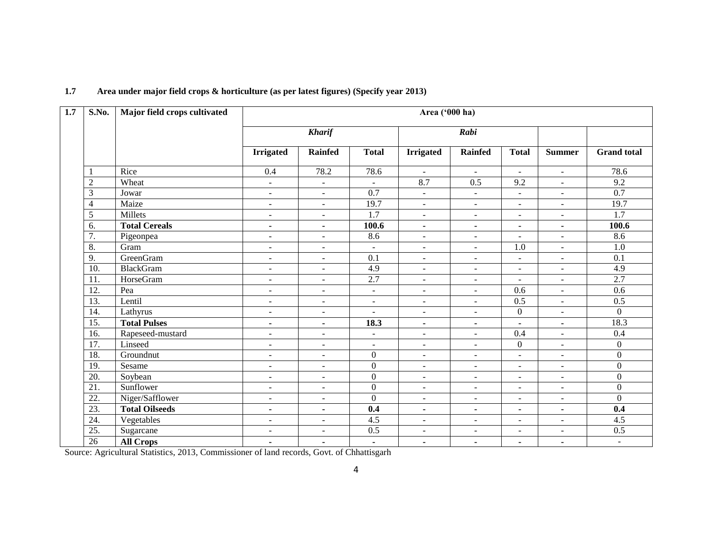| $\overline{1.7}$ | S.No.             | Major field crops cultivated |                          |                          |                  | Area ('000 ha)           |                          |                          |                          |                    |
|------------------|-------------------|------------------------------|--------------------------|--------------------------|------------------|--------------------------|--------------------------|--------------------------|--------------------------|--------------------|
|                  |                   |                              | <b>Kharif</b>            |                          |                  |                          | Rabi                     |                          |                          |                    |
|                  |                   |                              | <b>Irrigated</b>         | <b>Rainfed</b>           | <b>Total</b>     | <b>Irrigated</b>         | <b>Rainfed</b>           | <b>Total</b>             | <b>Summer</b>            | <b>Grand</b> total |
|                  | 1                 | Rice                         | $\overline{0.4}$         | 78.2                     | 78.6             | $\sim$                   | $\sim$                   | $\blacksquare$           | $\mathbf{r}$             | 78.6               |
|                  | $\overline{2}$    | Wheat                        | $\blacksquare$           | $\blacksquare$           | $\blacksquare$   | 8.7                      | 0.5                      | 9.2                      | $\overline{a}$           | 9.2                |
|                  | 3                 | Jowar                        | $\blacksquare$           | $\sim$                   | $\overline{0.7}$ | $\omega$                 | $\blacksquare$           | $\blacksquare$           | $\blacksquare$           | $\overline{0.7}$   |
|                  | 4                 | Maize                        | $\blacksquare$           | $\mathbf{r}$             | 19.7             | $\sim$                   | $\blacksquare$           | ÷                        | $\blacksquare$           | 19.7               |
|                  | 5                 | Millets                      | $\overline{\phantom{a}}$ | $\overline{a}$           | $\overline{1.7}$ | $\blacksquare$           | $\overline{\phantom{a}}$ | $\blacksquare$           | $\overline{\phantom{a}}$ | 1.7                |
|                  | 6.                | <b>Total Cereals</b>         | $\blacksquare$           | $\blacksquare$           | 100.6            | $\blacksquare$           | $\blacksquare$           | ٠                        | $\blacksquare$           | 100.6              |
|                  | 7.                | Pigeonpea                    | $\blacksquare$           | $\sim$                   | 8.6              | $\blacksquare$           | $\blacksquare$           | $\blacksquare$           | $\blacksquare$           | 8.6                |
|                  | 8.                | Gram                         | $\overline{\phantom{a}}$ | $\overline{\phantom{a}}$ | $\blacksquare$   | $\overline{\phantom{a}}$ | $\overline{\phantom{a}}$ | $\overline{1.0}$         | $\overline{\phantom{a}}$ | $\overline{1.0}$   |
|                  | 9.                | <b>GreenGram</b>             | $\overline{\phantom{a}}$ | $\blacksquare$           | 0.1              | $\blacksquare$           | $\overline{\phantom{a}}$ | $\blacksquare$           | $\overline{\phantom{a}}$ | 0.1                |
|                  | $\overline{10}$ . | <b>BlackGram</b>             | $\blacksquare$           | $\overline{\phantom{a}}$ | $\overline{4.9}$ | $\blacksquare$           | $\blacksquare$           | $\blacksquare$           | $\blacksquare$           | 4.9                |
|                  | 11.               | <b>HorseGram</b>             | $\overline{\phantom{a}}$ | $\blacksquare$           | 2.7              | $\overline{\phantom{a}}$ | $\overline{\phantom{a}}$ | $\blacksquare$           | $\overline{\phantom{a}}$ | 2.7                |
|                  | 12.               | Pea                          | $\overline{\phantom{a}}$ | $\blacksquare$           | $\blacksquare$   | $\blacksquare$           | $\blacksquare$           | 0.6                      | $\overline{\phantom{a}}$ | 0.6                |
|                  | 13.               | Lentil                       | $\sim$                   | $\sim$                   | $\sim$           | $\sim$                   | $\sim$                   | 0.5                      | $\sim$                   | 0.5                |
|                  | 14.               | Lathyrus                     | $\overline{\phantom{a}}$ | $\blacksquare$           | $\sim$           | $\overline{\phantom{a}}$ | $\overline{\phantom{a}}$ | $\overline{0}$           | $\blacksquare$           | $\Omega$           |
|                  | $\overline{15}$ . | <b>Total Pulses</b>          | $\blacksquare$           | $\blacksquare$           | 18.3             | $\blacksquare$           | $\blacksquare$           | $\blacksquare$           | $\blacksquare$           | 18.3               |
|                  | 16.               | Rapeseed-mustard             | $\blacksquare$           | $\sim$                   | $\sim$           | $\blacksquare$           | $\sim$                   | 0.4                      | $\sim$                   | 0.4                |
|                  | 17.               | Linseed                      | $\blacksquare$           | $\blacksquare$           | $\blacksquare$   | $\blacksquare$           | $\sim$                   | $\overline{0}$           | $\overline{\phantom{a}}$ | $\overline{0}$     |
|                  | 18.               | Groundnut                    | $\blacksquare$           | $\overline{a}$           | $\boldsymbol{0}$ | $\blacksquare$           | $\blacksquare$           | $\blacksquare$           | $\overline{\phantom{0}}$ | $\overline{0}$     |
|                  | 19.               | Sesame                       | $\overline{\phantom{a}}$ | $\overline{a}$           | $\boldsymbol{0}$ | $\blacksquare$           | $\sim$                   | ٠                        | $\blacksquare$           | $\overline{0}$     |
|                  | 20.               | Soybean                      | $\overline{\phantom{a}}$ | $\blacksquare$           | $\boldsymbol{0}$ | $\blacksquare$           | $\overline{\phantom{a}}$ | $\overline{\phantom{a}}$ | $\overline{\phantom{a}}$ | $\overline{0}$     |
|                  | $\overline{21}$ . | Sunflower                    | $\overline{\phantom{a}}$ | $\blacksquare$           | $\boldsymbol{0}$ | $\sim$                   | $\overline{\phantom{a}}$ | $\blacksquare$           | $\overline{\phantom{a}}$ | $\overline{0}$     |
|                  | $\overline{22}$ . | Niger/Safflower              | $\overline{\phantom{a}}$ | $\overline{a}$           | $\boldsymbol{0}$ | $\overline{\phantom{a}}$ | $\overline{\phantom{a}}$ | ٠                        | $\overline{\phantom{a}}$ | $\overline{0}$     |
|                  | 23.               | <b>Total Oilseeds</b>        | $\blacksquare$           | $\blacksquare$           | 0.4              | $\sim$                   | $\blacksquare$           | ٠                        | $\blacksquare$           | 0.4                |
|                  | $\overline{24}$ . | Vegetables                   | $\blacksquare$           | $\sim$                   | $\overline{4.5}$ | $\blacksquare$           | $\blacksquare$           | $\blacksquare$           | $\blacksquare$           | $\overline{4.5}$   |
|                  | 25.               | Sugarcane                    | $\overline{\phantom{a}}$ | $\equiv$                 | 0.5              | $\blacksquare$           | $\blacksquare$           | $\blacksquare$           | $\blacksquare$           | 0.5                |
|                  | $\overline{26}$   | <b>All Crops</b>             | $\blacksquare$           | $\blacksquare$           | $\blacksquare$   | $\blacksquare$           | $\blacksquare$           | ٠                        | $\blacksquare$           | $\blacksquare$     |

# **1.7 Area under major field crops & horticulture (as per latest figures) (Specify year 2013)**

Source: Agricultural Statistics, 2013, Commissioner of land records, Govt. of Chhattisgarh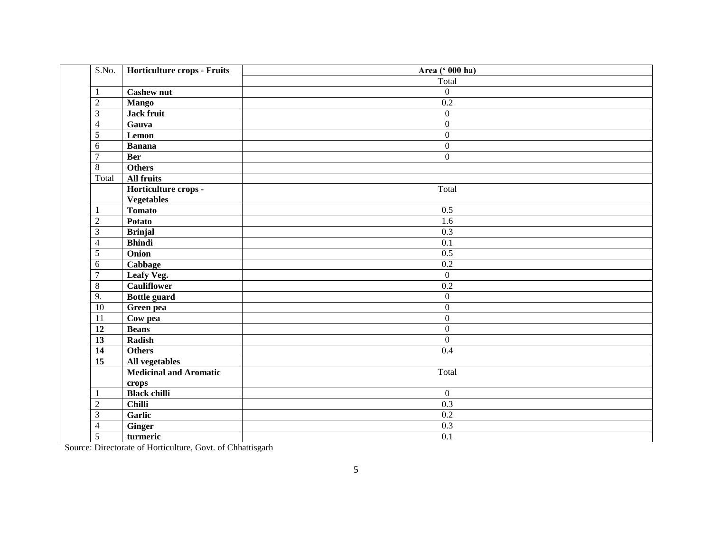| S.No.                        | Horticulture crops - Fruits   | Area (' 000 ha)  |
|------------------------------|-------------------------------|------------------|
|                              |                               | Total            |
| $\mathbf{1}$                 | <b>Cashew nut</b>             | $\overline{0}$   |
| $\overline{2}$               | <b>Mango</b>                  | 0.2              |
| $\overline{3}$               | <b>Jack fruit</b>             | $\overline{0}$   |
| $\overline{4}$               | Gauva                         | $\overline{0}$   |
| $\overline{5}$               | Lemon                         | $\overline{0}$   |
| 6                            | <b>Banana</b>                 | $\boldsymbol{0}$ |
| $\overline{7}$<br><b>Ber</b> |                               | $\overline{0}$   |
| $\overline{8}$               | <b>Others</b>                 |                  |
| Total                        | <b>All fruits</b>             |                  |
|                              | Horticulture crops -          | Total            |
|                              | <b>Vegetables</b>             |                  |
| $\mathbf{1}$                 | <b>Tomato</b>                 | 0.5              |
| $\sqrt{2}$                   | <b>Potato</b>                 | 1.6              |
| $\overline{3}$               | <b>Brinjal</b>                | $\overline{0.3}$ |
| $\overline{4}$               | <b>Bhindi</b>                 | 0.1              |
| $\sqrt{5}$                   | Onion                         | 0.5              |
| 6                            | Cabbage                       | 0.2              |
|                              | Leafy Veg.                    | $\overline{0}$   |
| $\,8\,$                      | <b>Cauliflower</b>            | $\overline{0.2}$ |
| 9.                           | <b>Bottle guard</b>           | $\boldsymbol{0}$ |
| $\overline{10}$              | Green pea                     | $\boldsymbol{0}$ |
| $\overline{11}$              | Cow pea                       | $\boldsymbol{0}$ |
| $\overline{12}$              | <b>Beans</b>                  | $\boldsymbol{0}$ |
| $\overline{13}$              | Radish                        | $\overline{0}$   |
| $\overline{14}$              | <b>Others</b>                 | $\overline{0.4}$ |
| $\overline{15}$              | All vegetables                |                  |
|                              | <b>Medicinal and Aromatic</b> | Total            |
|                              | crops                         |                  |
| -1                           | <b>Black chilli</b>           | $\boldsymbol{0}$ |
| $\sqrt{2}$                   | <b>Chilli</b>                 | $\overline{0.3}$ |
| $\overline{3}$               | Garlic                        | $\overline{0.2}$ |
| $\overline{4}$               | Ginger                        | 0.3              |
| 5                            | turmeric                      | $\overline{0.1}$ |

Source: Directorate of Horticulture, Govt. of Chhattisgarh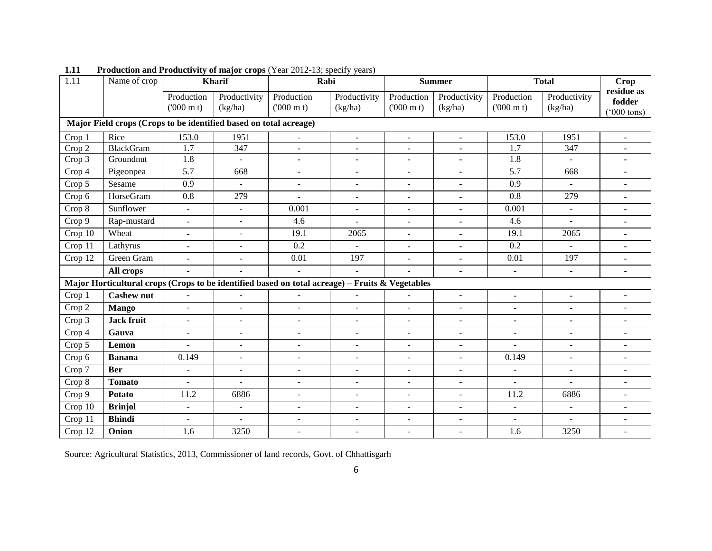| 1.11    | Name of crop                                                      |                                 | <b>Kharif</b>           | Rabi                                                                                            |                         |                                 | <b>Summer</b>           |                                 | <b>Total</b>            |                                     |  |
|---------|-------------------------------------------------------------------|---------------------------------|-------------------------|-------------------------------------------------------------------------------------------------|-------------------------|---------------------------------|-------------------------|---------------------------------|-------------------------|-------------------------------------|--|
|         |                                                                   | Production<br>$(000 \text{ m})$ | Productivity<br>(kg/ha) | Production<br>$(000 \text{ m})$                                                                 | Productivity<br>(kg/ha) | Production<br>$(000 \text{ m})$ | Productivity<br>(kg/ha) | Production<br>$(000 \text{ m})$ | Productivity<br>(kg/ha) | residue as<br>fodder<br>(°000 tons) |  |
|         | Major Field crops (Crops to be identified based on total acreage) |                                 |                         |                                                                                                 |                         |                                 |                         |                                 |                         |                                     |  |
| Crop 1  | Rice                                                              | 153.0                           | 1951                    | $\overline{a}$                                                                                  | $\blacksquare$          | $\blacksquare$                  | $\blacksquare$          | 153.0                           | 1951                    | $\blacksquare$                      |  |
| Crop 2  | <b>BlackGram</b>                                                  | 1.7                             | 347                     | ۰                                                                                               |                         | ٠                               |                         | 1.7                             | 347                     |                                     |  |
| Crop 3  | Groundnut                                                         | 1.8                             | $\mathbf{r}$            | $\blacksquare$                                                                                  | $\blacksquare$          | $\blacksquare$                  | $\blacksquare$          | 1.8                             | $\mathbf{r}$            | $\blacksquare$                      |  |
| Crop 4  | Pigeonpea                                                         | 5.7                             | 668                     | $\blacksquare$                                                                                  | $\blacksquare$          | ٠                               | $\blacksquare$          | 5.7                             | 668                     | ۰                                   |  |
| Crop 5  | Sesame                                                            | 0.9                             | $\sim$                  | $\blacksquare$                                                                                  | $\blacksquare$          | $\blacksquare$                  |                         | 0.9                             | $\mathbf{r}$            | $\blacksquare$                      |  |
| Crop 6  | HorseGram                                                         | 0.8                             | 279                     |                                                                                                 | $\blacksquare$          | ٠                               |                         | 0.8                             | 279                     | $\blacksquare$                      |  |
| Crop 8  | Sunflower                                                         | $\blacksquare$                  | $\omega$                | 0.001                                                                                           | $\blacksquare$          | $\blacksquare$                  | $\blacksquare$          | 0.001                           | $\equiv$                | $\blacksquare$                      |  |
| Crop 9  | Rap-mustard                                                       | $\blacksquare$                  | $\sim$                  | 4.6                                                                                             |                         | ٠                               | ٠                       | 4.6                             | $\mathbf{r}$            | ۰                                   |  |
| Crop 10 | Wheat                                                             | $\blacksquare$                  | $\blacksquare$          | 19.1                                                                                            | 2065                    | $\blacksquare$                  | ٠                       | 19.1                            | 2065                    | $\blacksquare$                      |  |
| Crop 11 | Lathyrus                                                          | $\blacksquare$                  | $\blacksquare$          | 0.2                                                                                             |                         | $\blacksquare$                  | $\blacksquare$          | 0.2                             | $\sim$                  | $\blacksquare$                      |  |
| Crop 12 | Green Gram                                                        | $\blacksquare$                  | $\blacksquare$          | 0.01                                                                                            | 197                     | $\blacksquare$                  | $\blacksquare$          | 0.01                            | 197                     | $\blacksquare$                      |  |
|         | All crops                                                         | $\blacksquare$                  | $\blacksquare$          | $\blacksquare$                                                                                  | $\blacksquare$          | $\blacksquare$                  | ٠                       | $\blacksquare$                  | $\blacksquare$          | $\blacksquare$                      |  |
|         |                                                                   |                                 |                         | Major Horticultural crops (Crops to be identified based on total acreage) - Fruits & Vegetables |                         |                                 |                         |                                 |                         |                                     |  |
| Crop 1  | <b>Cashew nut</b>                                                 | $\sim$                          |                         |                                                                                                 |                         |                                 | $\blacksquare$          | $\blacksquare$                  | $\blacksquare$          | $\overline{a}$                      |  |
| Crop 2  | <b>Mango</b>                                                      | $\sim$                          | $\sim$                  | $\overline{a}$                                                                                  | $\sim$                  | $\blacksquare$                  |                         | $\blacksquare$                  | $\blacksquare$          | $\blacksquare$                      |  |
| Crop 3  | <b>Jack fruit</b>                                                 | $\blacksquare$                  | $\sim$                  | $\overline{\phantom{0}}$                                                                        | $\blacksquare$          | $\blacksquare$                  | $\blacksquare$          | $\blacksquare$                  | $\blacksquare$          | $\blacksquare$                      |  |
| Crop 4  | Gauva                                                             | $\blacksquare$                  | $\mathbf{r}$            | ÷.                                                                                              | ÷.                      | $\overline{a}$                  | ÷.                      | ۰                               | $\blacksquare$          |                                     |  |
| Crop 5  | Lemon                                                             | $\overline{a}$                  | $\blacksquare$          | $\overline{\phantom{a}}$                                                                        | $\blacksquare$          | $\overline{\phantom{a}}$        | $\blacksquare$          | $\blacksquare$                  | $\blacksquare$          | $\overline{\phantom{a}}$            |  |
| Crop 6  | <b>Banana</b>                                                     | 0.149                           | $\sim$                  | $\overline{\phantom{a}}$                                                                        | $\sim$                  | $\blacksquare$                  | $\blacksquare$          | 0.149                           | $\blacksquare$          | $\overline{\phantom{a}}$            |  |
| Crop 7  | <b>Ber</b>                                                        | $\sim$                          | $\overline{a}$          | $\overline{\phantom{a}}$                                                                        | $\sim$                  | $\overline{\phantom{a}}$        | ٠                       | $\blacksquare$                  | $\blacksquare$          | $\overline{a}$                      |  |
| Crop 8  | <b>Tomato</b>                                                     | $\equiv$                        | $\sim$                  | $\blacksquare$                                                                                  | $\sim$                  | $\blacksquare$                  | $\blacksquare$          | $\blacksquare$                  | $\sim$                  | $\blacksquare$                      |  |
| Crop 9  | <b>Potato</b>                                                     | 11.2                            | 6886                    | $\overline{\phantom{a}}$                                                                        | $\blacksquare$          | $\overline{\phantom{a}}$        | $\blacksquare$          | 11.2                            | 6886                    | $\overline{\phantom{0}}$            |  |
| Crop 10 | <b>Brinjol</b>                                                    | $\sim$                          | $\blacksquare$          | $\blacksquare$                                                                                  | $\blacksquare$          | $\blacksquare$                  | $\blacksquare$          | $\blacksquare$                  | $\mathbf{r}$            | $\overline{\phantom{0}}$            |  |
| Crop 11 | <b>Bhindi</b>                                                     | $\sim$                          | ÷.                      | $\overline{a}$                                                                                  | $\sim$                  | $\overline{a}$                  | $\overline{a}$          | $\overline{\phantom{a}}$        | $\mathbf{r}$            | $\overline{a}$                      |  |
| Crop 12 | Onion                                                             | 1.6                             | 3250                    |                                                                                                 |                         | $\overline{\phantom{a}}$        |                         | 1.6                             | 3250                    |                                     |  |

**1.11** Production and Productivity of major crops (Year 2012-13; specify years)

Source: Agricultural Statistics, 2013, Commissioner of land records, Govt. of Chhattisgarh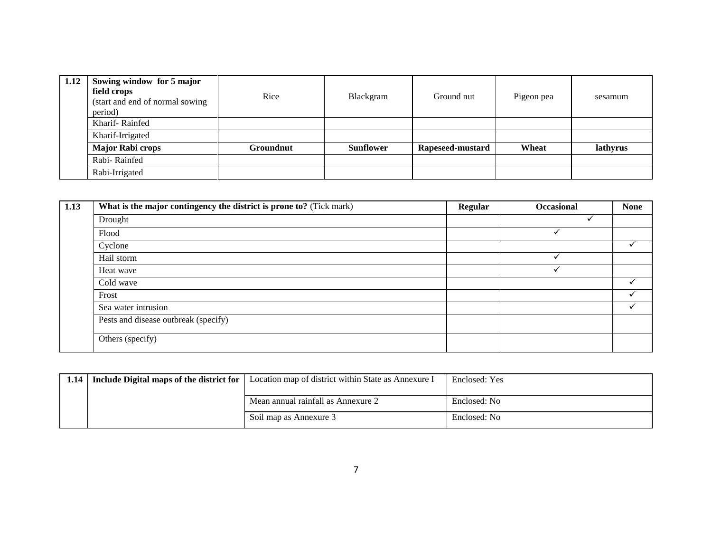| 1.12 | Sowing window for 5 major<br>field crops<br>(start and end of normal sowing)<br>period) | Rice      | Blackgram        | Ground nut       | Pigeon pea | sesamum  |
|------|-----------------------------------------------------------------------------------------|-----------|------------------|------------------|------------|----------|
|      | Kharif-Rainfed                                                                          |           |                  |                  |            |          |
|      | Kharif-Irrigated                                                                        |           |                  |                  |            |          |
|      | <b>Major Rabi crops</b>                                                                 | Groundnut | <b>Sunflower</b> | Rapeseed-mustard | Wheat      | lathyrus |
|      | Rabi-Rainfed                                                                            |           |                  |                  |            |          |
|      | Rabi-Irrigated                                                                          |           |                  |                  |            |          |

| 1.13 | What is the major contingency the district is prone to? (Tick mark) | <b>Regular</b> | Occasional | <b>None</b> |
|------|---------------------------------------------------------------------|----------------|------------|-------------|
|      | Drought                                                             |                |            |             |
|      | Flood                                                               |                |            |             |
|      | Cyclone                                                             |                |            |             |
|      | Hail storm                                                          |                |            |             |
|      | Heat wave                                                           |                | ✓          |             |
|      | Cold wave                                                           |                |            |             |
|      | Frost                                                               |                |            |             |
|      | Sea water intrusion                                                 |                |            | ✓           |
|      | Pests and disease outbreak (specify)                                |                |            |             |
|      | Others (specify)                                                    |                |            |             |

| 1.14 | <b>Include Digital maps of the district for</b>   Location map of district within State as Annexure I | Enclosed: Yes |
|------|-------------------------------------------------------------------------------------------------------|---------------|
|      | Mean annual rainfall as Annexure 2                                                                    | Enclosed: No  |
|      | Soil map as Annexure 3                                                                                | Enclosed: No  |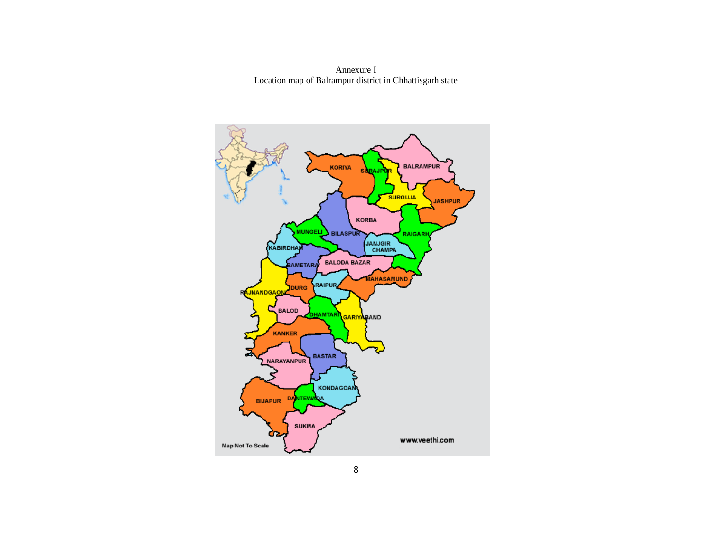Annexure I Location map of Balrampur district in Chhattisgarh state

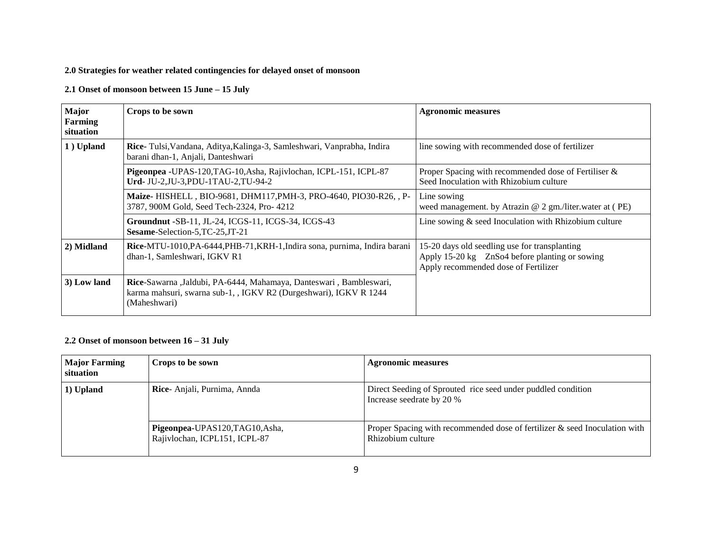#### **2.0 Strategies for weather related contingencies for delayed onset of monsoon**

#### **2.1 Onset of monsoon between 15 June – 15 July**

| Major<br>Farming<br>situation | Crops to be sown                                                                                                                                        | <b>Agronomic measures</b>                                                                                                               |
|-------------------------------|---------------------------------------------------------------------------------------------------------------------------------------------------------|-----------------------------------------------------------------------------------------------------------------------------------------|
| 1) Upland                     | <b>Rice-</b> Tulsi, Vandana, Aditya, Kalinga-3, Samleshwari, Vanprabha, Indira<br>barani dhan-1, Anjali, Danteshwari                                    | line sowing with recommended dose of fertilizer                                                                                         |
|                               | Pigeonpea -UPAS-120, TAG-10, Asha, Rajivlochan, ICPL-151, ICPL-87<br>Urd- JU-2, JU-3, PDU-1TAU-2, TU-94-2                                               | Proper Spacing with recommended dose of Fertiliser &<br>Seed Inoculation with Rhizobium culture                                         |
|                               | Maize- HISHELL, BIO-9681, DHM117, PMH-3, PRO-4640, PIO30-R26, P-<br>3787, 900M Gold, Seed Tech-2324, Pro-4212                                           | Line sowing<br>weed management. by Atrazin $@$ 2 gm./liter.water at (PE)                                                                |
|                               | Groundnut -SB-11, JL-24, ICGS-11, ICGS-34, ICGS-43<br>Sesame-Selection-5, TC-25, JT-21                                                                  | Line sowing $&$ seed Inoculation with Rhizobium culture                                                                                 |
| 2) Midland                    | Rice-MTU-1010, PA-6444, PHB-71, KRH-1, Indira sona, purnima, Indira barani<br>dhan-1, Samleshwari, IGKV R1                                              | 15-20 days old seedling use for transplanting<br>Apply 15-20 kg ZnSo4 before planting or sowing<br>Apply recommended dose of Fertilizer |
| 3) Low land                   | Rice-Sawarna ,Jaldubi, PA-6444, Mahamaya, Danteswari, Bambleswari,<br>karma mahsuri, swarna sub-1, , IGKV R2 (Durgeshwari), IGKV R 1244<br>(Maheshwari) |                                                                                                                                         |

## **2.2 Onset of monsoon between 16 – 31 July**

| <b>Major Farming</b><br>situation | Crops to be sown                                                 | <b>Agronomic measures</b>                                                                       |
|-----------------------------------|------------------------------------------------------------------|-------------------------------------------------------------------------------------------------|
| 1) Upland                         | Rice-Anjali, Purnima, Annda                                      | Direct Seeding of Sprouted rice seed under puddled condition<br>Increase seedrate by 20 %       |
|                                   | Pigeonpea-UPAS120, TAG10, Asha,<br>Rajivlochan, ICPL151, ICPL-87 | Proper Spacing with recommended dose of fertilizer & seed Inoculation with<br>Rhizobium culture |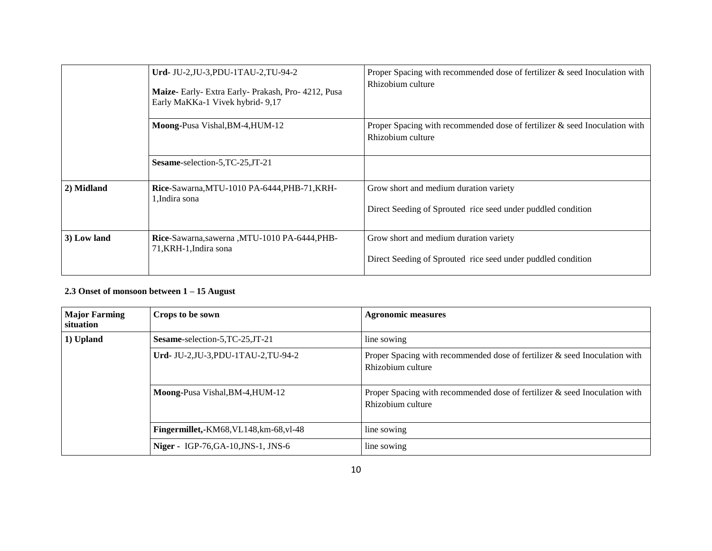|             | Urd- JU-2, JU-3, PDU-1TAU-2, TU-94-2<br>Maize- Early- Extra Early- Prakash, Pro- 4212, Pusa<br>Early MaKKa-1 Vivek hybrid- 9,17 | Proper Spacing with recommended dose of fertilizer $\&$ seed Inoculation with<br>Rhizobium culture     |  |
|-------------|---------------------------------------------------------------------------------------------------------------------------------|--------------------------------------------------------------------------------------------------------|--|
|             | Moong-Pusa Vishal, BM-4, HUM-12                                                                                                 | Proper Spacing with recommended dose of fertilizer & seed Inoculation with<br>Rhizobium culture        |  |
|             | Sesame-selection-5, TC-25, JT-21                                                                                                |                                                                                                        |  |
| 2) Midland  | Rice-Sawarna, MTU-1010 PA-6444, PHB-71, KRH-<br>1. Indira sona                                                                  | Grow short and medium duration variety<br>Direct Seeding of Sprouted rice seed under puddled condition |  |
| 3) Low land | Rice-Sawarna, sawerna, MTU-1010 PA-6444, PHB-<br>71, KRH-1, Indira sona                                                         | Grow short and medium duration variety<br>Direct Seeding of Sprouted rice seed under puddled condition |  |

# **2.3 Onset of monsoon between 1 – 15 August**

| <b>Major Farming</b><br>situation | Crops to be sown                        | <b>Agronomic measures</b>                                                                          |
|-----------------------------------|-----------------------------------------|----------------------------------------------------------------------------------------------------|
| 1) Upland                         | Sesame-selection-5, TC-25, JT-21        | line sowing                                                                                        |
|                                   | Urd- JU-2, JU-3, PDU-1TAU-2, TU-94-2    | Proper Spacing with recommended dose of fertilizer $\&$ seed Inoculation with<br>Rhizobium culture |
|                                   | Moong-Pusa Vishal, BM-4, HUM-12         | Proper Spacing with recommended dose of fertilizer $\&$ seed Inoculation with<br>Rhizobium culture |
|                                   | Fingermillet,-KM68, VL148, km-68, vl-48 | line sowing                                                                                        |
|                                   | Niger - IGP-76, GA-10, JNS-1, JNS-6     | line sowing                                                                                        |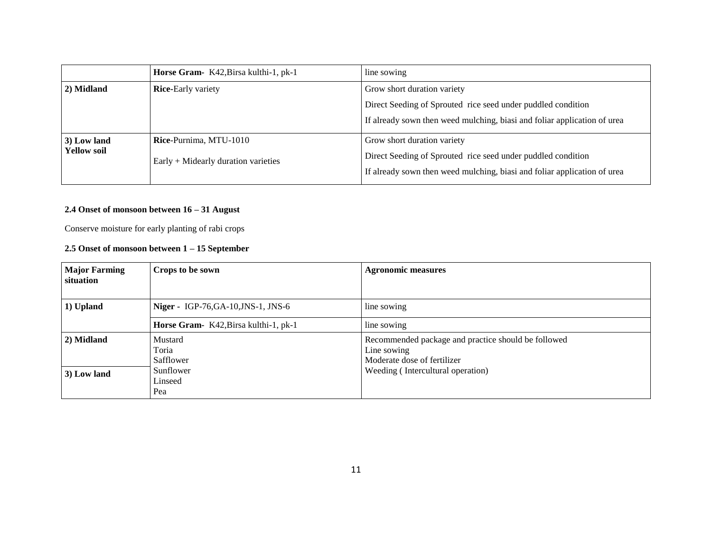|                    | Horse Gram- K42, Birsa kulthi-1, pk-1                        | line sowing                                                              |  |
|--------------------|--------------------------------------------------------------|--------------------------------------------------------------------------|--|
| 2) Midland         | <b>Rice-Early variety</b>                                    | Grow short duration variety                                              |  |
|                    | Direct Seeding of Sprouted rice seed under puddled condition |                                                                          |  |
|                    |                                                              | If already sown then weed mulching, biasi and foliar application of urea |  |
| 3) Low land        | Rice-Purnima, MTU-1010                                       | Grow short duration variety                                              |  |
| <b>Yellow soil</b> | $\text{Early} + \text{Midearly duration varieties}$          | Direct Seeding of Sprouted rice seed under puddled condition             |  |
|                    |                                                              | If already sown then weed mulching, biasi and foliar application of urea |  |

#### **2.4 Onset of monsoon between 16 – 31 August**

Conserve moisture for early planting of rabi crops

#### **2.5 Onset of monsoon between 1 – 15 September**

| <b>Major Farming</b><br>situation | Crops to be sown                         | <b>Agronomic measures</b>                                                                         |
|-----------------------------------|------------------------------------------|---------------------------------------------------------------------------------------------------|
|                                   |                                          |                                                                                                   |
| 1) Upland                         | <b>Niger - IGP-76,GA-10,JNS-1, JNS-6</b> | line sowing                                                                                       |
|                                   | Horse Gram- K42, Birsa kulthi-1, pk-1    | line sowing                                                                                       |
| 2) Midland                        | Mustard<br>Toria<br>Safflower            | Recommended package and practice should be followed<br>Line sowing<br>Moderate dose of fertilizer |
| 3) Low land                       | Sunflower<br>Linseed<br>Pea              | Weeding (Intercultural operation)                                                                 |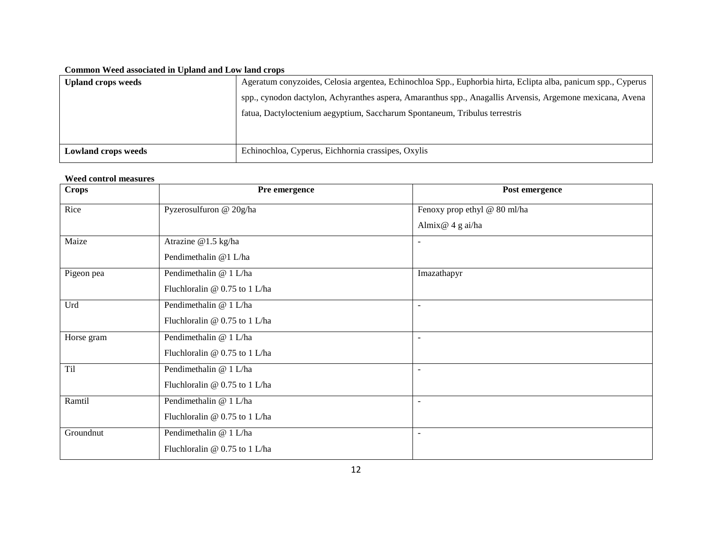#### **Common Weed associated in Upland and Low land crops**

| Ageratum conyzoides, Celosia argentea, Echinochloa Spp., Euphorbia hirta, Eclipta alba, panicum spp., Cyperus<br><b>Upland crops weeds</b> |  |
|--------------------------------------------------------------------------------------------------------------------------------------------|--|
| spp., cynodon dactylon, Achyranthes aspera, Amaranthus spp., Anagallis Arvensis, Argemone mexicana, Avena                                  |  |
| fatua, Dactyloctenium aegyptium, Saccharum Spontaneum, Tribulus terrestris                                                                 |  |
|                                                                                                                                            |  |
|                                                                                                                                            |  |
| Echinochloa, Cyperus, Eichhornia crassipes, Oxylis<br><b>Lowland crops weeds</b>                                                           |  |

#### **Weed control measures**

| <b>Crops</b> | Pre emergence                 | Post emergence               |
|--------------|-------------------------------|------------------------------|
| Rice         | Pyzerosulfuron @ 20g/ha       | Fenoxy prop ethyl @ 80 ml/ha |
|              |                               | Almix@ 4 g ai/ha             |
| Maize        | Atrazine @1.5 kg/ha           | $\blacksquare$               |
|              | Pendimethalin @1 L/ha         |                              |
| Pigeon pea   | Pendimethalin @ 1 L/ha        | Imazathapyr                  |
|              | Fluchloralin @ 0.75 to 1 L/ha |                              |
| Urd          | Pendimethalin @ 1 L/ha        | $\overline{\phantom{a}}$     |
|              | Fluchloralin @ 0.75 to 1 L/ha |                              |
| Horse gram   | Pendimethalin @ 1L/ha         | $\blacksquare$               |
|              | Fluchloralin @ 0.75 to 1 L/ha |                              |
| <b>Til</b>   | Pendimethalin @ 1 L/ha        | ٠                            |
|              | Fluchloralin @ 0.75 to 1 L/ha |                              |
| Ramtil       | Pendimethalin @ 1 L/ha        | $\blacksquare$               |
|              | Fluchloralin @ 0.75 to 1 L/ha |                              |
| Groundnut    | Pendimethalin @ 1 L/ha        | $\overline{\phantom{a}}$     |
|              | Fluchloralin @ 0.75 to 1 L/ha |                              |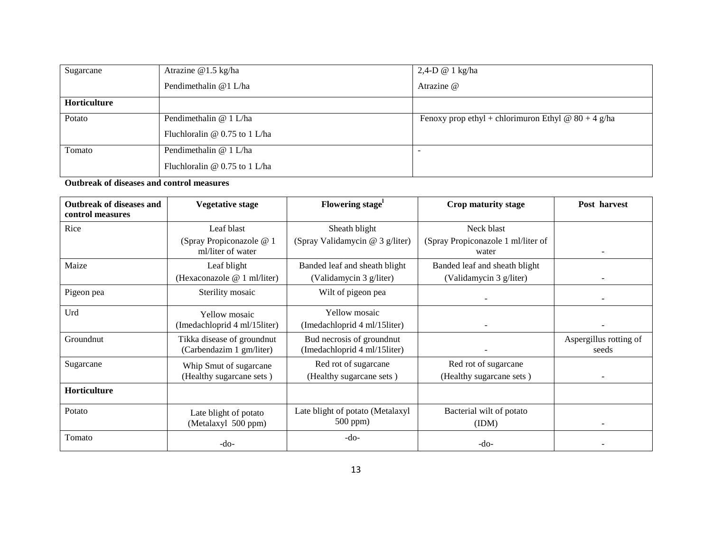| Sugarcane    | Atrazine @1.5 kg/ha             | $2,4-D \otimes 1$ kg/ha                               |
|--------------|---------------------------------|-------------------------------------------------------|
|              | Pendimethalin @1 L/ha           | Atrazine @                                            |
| Horticulture |                                 |                                                       |
| Potato       | Pendimethalin @ 1 L/ha          | Fenoxy prop ethyl + chlorimuron Ethyl @ $80 + 4$ g/ha |
|              | Fluchloralin $@0.75$ to 1 L/ha  |                                                       |
| Tomato       | Pendimethalin @ 1 L/ha          | -                                                     |
|              | Fluchloralin $@$ 0.75 to 1 L/ha |                                                       |

**Outbreak of diseases and control measures**

| <b>Outbreak of diseases and</b><br>control measures | <b>Vegetative stage</b>                       | Flowering stage <sup>1</sup>     | Crop maturity stage                         | Post harvest             |
|-----------------------------------------------------|-----------------------------------------------|----------------------------------|---------------------------------------------|--------------------------|
| Rice                                                | Leaf blast                                    | Sheath blight                    | Neck blast                                  |                          |
|                                                     | (Spray Propiconazole @ 1<br>ml/liter of water | (Spray Validamycin @ 3 g/liter)  | (Spray Propiconazole 1 ml/liter of<br>water | $\overline{\phantom{a}}$ |
| Maize                                               | Leaf blight                                   | Banded leaf and sheath blight    | Banded leaf and sheath blight               |                          |
|                                                     | (Hexaconazole @ 1 ml/liter)                   | (Validamycin 3 g/liter)          | (Validamycin 3 g/liter)                     |                          |
| Pigeon pea                                          | Sterility mosaic                              | Wilt of pigeon pea               |                                             |                          |
| Urd                                                 | <b>Yellow</b> mosaic                          | <b>Yellow</b> mosaic             |                                             |                          |
|                                                     | (Imedachloprid 4 ml/15liter)                  | (Imedachloprid 4 ml/15liter)     |                                             |                          |
| Groundnut                                           | Tikka disease of groundnut                    | Bud necrosis of groundnut        |                                             | Aspergillus rotting of   |
|                                                     | (Carbendazim 1 gm/liter)                      | (Imedachloprid 4 ml/15liter)     |                                             | seeds                    |
| Sugarcane                                           | Whip Smut of sugarcane                        | Red rot of sugarcane             | Red rot of sugarcane                        |                          |
|                                                     | (Healthy sugarcane sets)                      | (Healthy sugarcane sets)         | (Healthy sugarcane sets)                    |                          |
| Horticulture                                        |                                               |                                  |                                             |                          |
| Potato                                              | Late blight of potato                         | Late blight of potato (Metalaxyl | Bacterial wilt of potato                    |                          |
|                                                     | (Metalaxyl 500 ppm)                           | 500 ppm)                         | (IDM)                                       |                          |
| Tomato                                              | $-do-$                                        | $-do-$                           | $-do-$                                      |                          |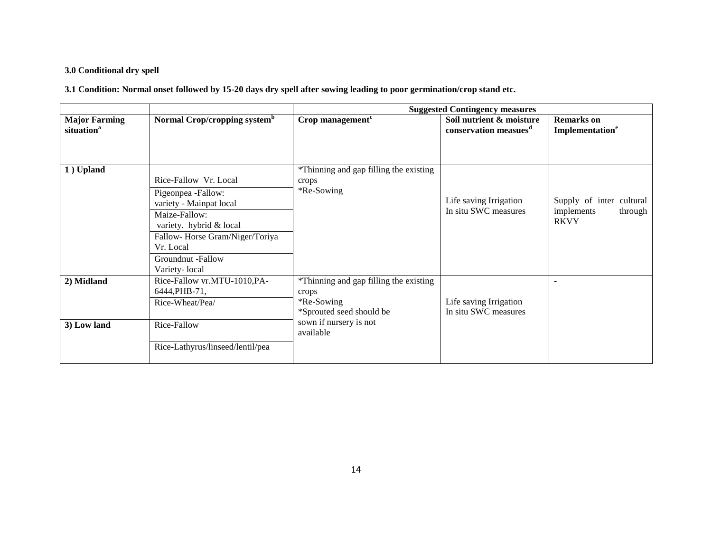# **3.0 Conditional dry spell**

**3.1 Condition: Normal onset followed by 15-20 days dry spell after sowing leading to poor germination/crop stand etc.**

|                                                |                                                                                                                                                                                                         | <b>Suggested Contingency measures</b>                                                                                            |                                                               |                                                                  |
|------------------------------------------------|---------------------------------------------------------------------------------------------------------------------------------------------------------------------------------------------------------|----------------------------------------------------------------------------------------------------------------------------------|---------------------------------------------------------------|------------------------------------------------------------------|
| <b>Major Farming</b><br>situation <sup>a</sup> | Normal Crop/cropping system <sup>b</sup>                                                                                                                                                                | $Crop$ management $c$                                                                                                            | Soil nutrient & moisture<br>conservation measues <sup>d</sup> | <b>Remarks</b> on<br>Implementation <sup>e</sup>                 |
| 1) Upland                                      | Rice-Fallow Vr. Local<br>Pigeonpea -Fallow:<br>variety - Mainpat local<br>Maize-Fallow:<br>variety. hybrid & local<br>Fallow-Horse Gram/Niger/Toriya<br>Vr. Local<br>Groundnut -Fallow<br>Variety-local | *Thinning and gap filling the existing<br>crops<br>*Re-Sowing                                                                    | Life saving Irrigation<br>In situ SWC measures                | Supply of inter cultural<br>implements<br>through<br><b>RKVY</b> |
| 2) Midland<br>3) Low land                      | Rice-Fallow vr.MTU-1010,PA-<br>6444, PHB-71,<br>Rice-Wheat/Pea/<br>Rice-Fallow<br>Rice-Lathyrus/linseed/lentil/pea                                                                                      | *Thinning and gap filling the existing<br>crops<br>*Re-Sowing<br>*Sprouted seed should be<br>sown if nursery is not<br>available | Life saving Irrigation<br>In situ SWC measures                |                                                                  |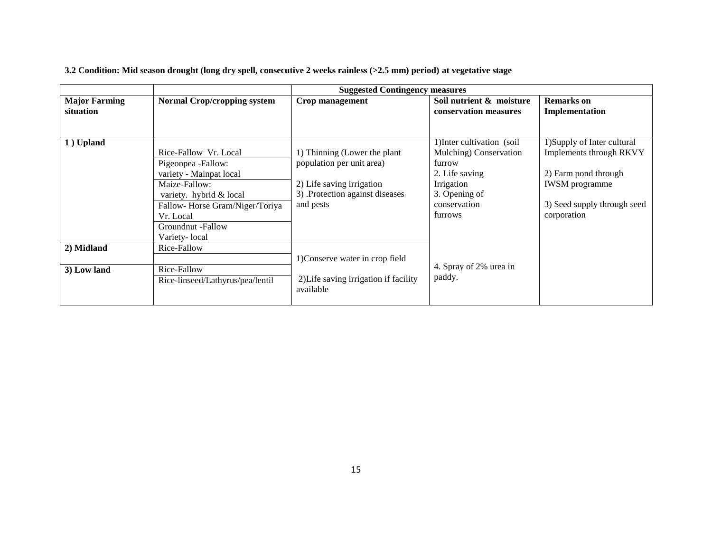|                                   |                                    | <b>Suggested Contingency measures</b> |                                                   |                                     |
|-----------------------------------|------------------------------------|---------------------------------------|---------------------------------------------------|-------------------------------------|
| <b>Major Farming</b><br>situation | <b>Normal Crop/cropping system</b> | Crop management                       | Soil nutrient & moisture<br>conservation measures | <b>Remarks</b> on<br>Implementation |
|                                   |                                    |                                       |                                                   |                                     |
| 1) Upland                         |                                    |                                       | 1) Inter cultivation (soil                        | 1) Supply of Inter cultural         |
|                                   | Rice-Fallow Vr. Local              | 1) Thinning (Lower the plant          | Mulching) Conservation                            | Implements through RKVY             |
|                                   | Pigeonpea -Fallow:                 | population per unit area)             | furrow                                            |                                     |
|                                   | variety - Mainpat local            |                                       | 2. Life saving                                    | 2) Farm pond through                |
|                                   | Maize-Fallow:                      | 2) Life saving irrigation             | Irrigation                                        | <b>IWSM</b> programme               |
|                                   | variety. hybrid & local            | 3) Protection against diseases        | 3. Opening of                                     |                                     |
|                                   | Fallow-Horse Gram/Niger/Toriya     | and pests                             | conservation                                      | 3) Seed supply through seed         |
|                                   | Vr. Local                          |                                       | furrows                                           | corporation                         |
|                                   | Groundnut -Fallow                  |                                       |                                                   |                                     |
|                                   | Variety-local                      |                                       |                                                   |                                     |
| 2) Midland                        | Rice-Fallow                        |                                       |                                                   |                                     |
|                                   |                                    | 1) Conserve water in crop field       |                                                   |                                     |
| 3) Low land                       | Rice-Fallow                        |                                       | 4. Spray of 2% urea in                            |                                     |
|                                   | Rice-linseed/Lathyrus/pea/lentil   | 2) Life saving irrigation if facility | paddy.                                            |                                     |
|                                   |                                    | available                             |                                                   |                                     |

**3.2 Condition: Mid season drought (long dry spell, consecutive 2 weeks rainless (>2.5 mm) period) at vegetative stage**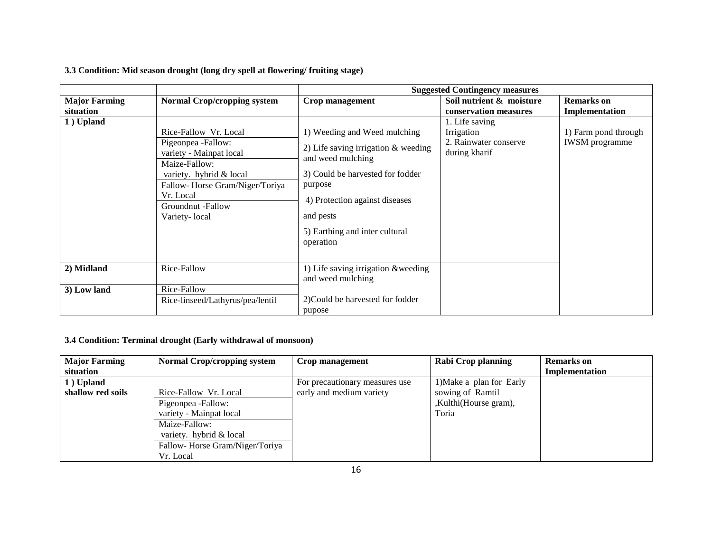|                      |                                                                                                              | <b>Suggested Contingency measures</b>                                                                                                     |                                                                        |                                               |
|----------------------|--------------------------------------------------------------------------------------------------------------|-------------------------------------------------------------------------------------------------------------------------------------------|------------------------------------------------------------------------|-----------------------------------------------|
| <b>Major Farming</b> | <b>Normal Crop/cropping system</b>                                                                           | <b>Crop management</b>                                                                                                                    | Soil nutrient & moisture                                               | <b>Remarks</b> on                             |
| situation            |                                                                                                              |                                                                                                                                           | conservation measures                                                  | Implementation                                |
| 1) Upland            | Rice-Fallow Vr. Local<br>Pigeonpea -Fallow:<br>variety - Mainpat local<br>Maize-Fallow:                      | 1) Weeding and Weed mulching<br>2) Life saving irrigation $&$ weeding<br>and weed mulching                                                | 1. Life saving<br>Irrigation<br>2. Rainwater conserve<br>during kharif | 1) Farm pond through<br><b>IWSM</b> programme |
|                      | variety. hybrid & local<br>Fallow-Horse Gram/Niger/Toriya<br>Vr. Local<br>Groundnut -Fallow<br>Variety-local | 3) Could be harvested for fodder<br>purpose<br>4) Protection against diseases<br>and pests<br>5) Earthing and inter cultural<br>operation |                                                                        |                                               |
| 2) Midland           | Rice-Fallow                                                                                                  | 1) Life saving irrigation &weeding<br>and weed mulching                                                                                   |                                                                        |                                               |
| 3) Low land          | Rice-Fallow<br>Rice-linseed/Lathyrus/pea/lentil                                                              | 2) Could be harvested for fodder<br>pupose                                                                                                |                                                                        |                                               |

## **3.3 Condition: Mid season drought (long dry spell at flowering/ fruiting stage)**

## **3.4 Condition: Terminal drought (Early withdrawal of monsoon)**

| <b>Major Farming</b> | <b>Normal Crop/cropping system</b> | Crop management                | Rabi Crop planning       | <b>Remarks</b> on |
|----------------------|------------------------------------|--------------------------------|--------------------------|-------------------|
| situation            |                                    |                                |                          | Implementation    |
| 1) Upland            |                                    | For precautionary measures use | 1) Make a plan for Early |                   |
| shallow red soils    | Rice-Fallow Vr. Local              | early and medium variety       | sowing of Ramtil         |                   |
|                      | Pigeonpea -Fallow:                 |                                | ,Kulthi(Hourse gram),    |                   |
|                      | variety - Mainpat local            |                                | Toria                    |                   |
|                      | Maize-Fallow:                      |                                |                          |                   |
|                      | variety. hybrid & local            |                                |                          |                   |
|                      | Fallow-Horse Gram/Niger/Toriya     |                                |                          |                   |
|                      | Vr. Local                          |                                |                          |                   |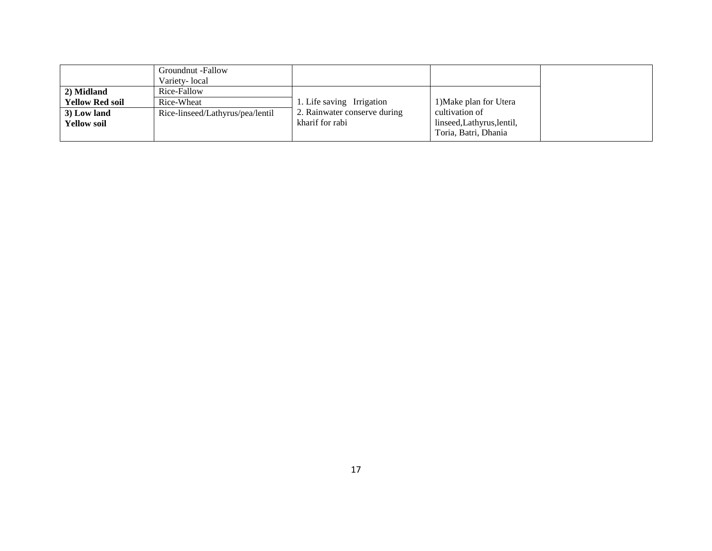|                        | Groundnut -Fallow<br>Variety-local |                              |                            |
|------------------------|------------------------------------|------------------------------|----------------------------|
| 2) Midland             | Rice-Fallow                        |                              |                            |
| <b>Yellow Red soil</b> | Rice-Wheat                         | 1. Life saving Irrigation    | 1) Make plan for Utera     |
| 3) Low land            | Rice-linseed/Lathyrus/pea/lentil   | 2. Rainwater conserve during | cultivation of             |
| <b>Yellow soil</b>     |                                    | kharif for rabi              | linseed, Lathyrus, lentil, |
|                        |                                    |                              | Toria, Batri, Dhania       |